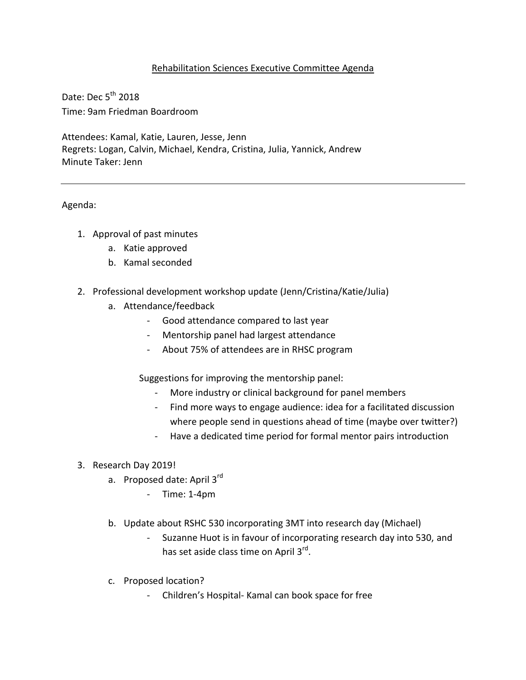## Rehabilitation Sciences Executive Committee Agenda

Date: Dec  $5<sup>th</sup>$  2018 Time: 9am Friedman Boardroom

Attendees: Kamal, Katie, Lauren, Jesse, Jenn Regrets: Logan, Calvin, Michael, Kendra, Cristina, Julia, Yannick, Andrew Minute Taker: Jenn

## Agenda:

- 1. Approval of past minutes
	- a. Katie approved
	- b. Kamal seconded
- 2. Professional development workshop update (Jenn/Cristina/Katie/Julia)
	- a. Attendance/feedback
		- Good attendance compared to last year
		- Mentorship panel had largest attendance
		- About 75% of attendees are in RHSC program

Suggestions for improving the mentorship panel:

- More industry or clinical background for panel members
- Find more ways to engage audience: idea for a facilitated discussion where people send in questions ahead of time (maybe over twitter?)
- Have a dedicated time period for formal mentor pairs introduction
- 3. Research Day 2019!
	- a. Proposed date: April 3rd
		- Time: 1-4pm
	- b. Update about RSHC 530 incorporating 3MT into research day (Michael)
		- Suzanne Huot is in favour of incorporating research day into 530, and has set aside class time on April 3<sup>rd</sup>.
	- c. Proposed location?
		- Children's Hospital- Kamal can book space for free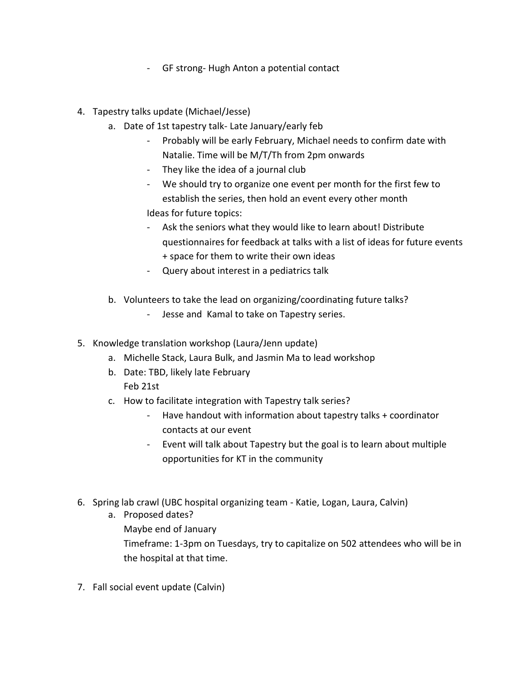- GF strong- Hugh Anton a potential contact
- 4. Tapestry talks update (Michael/Jesse)
	- a. Date of 1st tapestry talk- Late January/early feb
		- Probably will be early February, Michael needs to confirm date with Natalie. Time will be M/T/Th from 2pm onwards
		- They like the idea of a journal club
		- We should try to organize one event per month for the first few to establish the series, then hold an event every other month

Ideas for future topics:

- Ask the seniors what they would like to learn about! Distribute questionnaires for feedback at talks with a list of ideas for future events + space for them to write their own ideas
- Query about interest in a pediatrics talk
- b. Volunteers to take the lead on organizing/coordinating future talks?
	- Jesse and Kamal to take on Tapestry series.
- 5. Knowledge translation workshop (Laura/Jenn update)
	- a. Michelle Stack, Laura Bulk, and Jasmin Ma to lead workshop
	- b. Date: TBD, likely late February Feb 21st
	- c. How to facilitate integration with Tapestry talk series?
		- Have handout with information about tapestry talks + coordinator contacts at our event
		- Event will talk about Tapestry but the goal is to learn about multiple opportunities for KT in the community
- 6. Spring lab crawl (UBC hospital organizing team Katie, Logan, Laura, Calvin)
	- a. Proposed dates? Maybe end of January Timeframe: 1-3pm on Tuesdays, try to capitalize on 502 attendees who will be in the hospital at that time.
- 7. Fall social event update (Calvin)